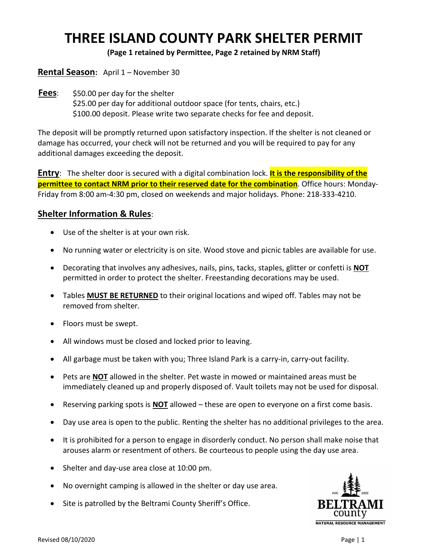## **THREE ISLAND COUNTY PARK SHELTER PERMIT**

**(Page 1 retained by Permittee, Page 2 retained by NRM Staff)**

## **Rental Season:** April 1 – November 30

**Fees**: \$50.00 per day for the shelter \$25.00 per day for additional outdoor space (for tents, chairs, etc.) \$100.00 deposit. Please write two separate checks for fee and deposit.

The deposit will be promptly returned upon satisfactory inspection. If the shelter is not cleaned or damage has occurred, your check will not be returned and you will be required to pay for any additional damages exceeding the deposit.

**Entry**: The shelter door is secured with a digital combination lock. **It is the responsibility of the permittee to contact NRM prior to their reserved date for the combination**. Office hours: Monday-Friday from 8:00 am-4:30 pm, closed on weekends and major holidays. Phone: 218-333-4210.

## **Shelter Information & Rules**:

- Use of the shelter is at your own risk.
- No running water or electricity is on site. Wood stove and picnic tables are available for use.
- Decorating that involves any adhesives, nails, pins, tacks, staples, glitter or confetti is **NOT** permitted in order to protect the shelter. Freestanding decorations may be used.
- Tables **MUST BE RETURNED** to their original locations and wiped off. Tables may not be removed from shelter.
- Floors must be swept.
- All windows must be closed and locked prior to leaving.
- All garbage must be taken with you; Three Island Park is a carry-in, carry-out facility.
- Pets are **NOT** allowed in the shelter. Pet waste in mowed or maintained areas must be immediately cleaned up and properly disposed of. Vault toilets may not be used for disposal.
- Reserving parking spots is **NOT** allowed these are open to everyone on a first come basis.
- Day use area is open to the public. Renting the shelter has no additional privileges to the area.
- It is prohibited for a person to engage in disorderly conduct. No person shall make noise that arouses alarm or resentment of others. Be courteous to people using the day use area.
- Shelter and day-use area close at 10:00 pm.
- No overnight camping is allowed in the shelter or day use area.
- Site is patrolled by the Beltrami County Sheriff's Office.